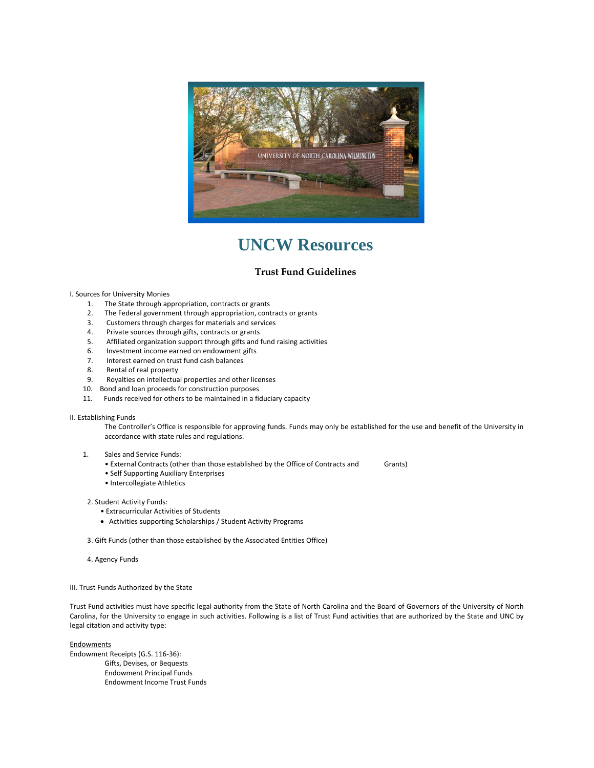

# **UNCW Resources**

## **Trust Fund Guidelines**

## I. Sources for University Monies

- 1. The State through appropriation, contracts or grants
- 2. The Federal government through appropriation, contracts or grants
- 3. Customers through charges for materials and services
- 
- 4. Private sources through gifts, contracts or grants<br>5. Affiliated organization support through gifts and Affiliated organization support through gifts and fund raising activities
- 6. Investment income earned on endowment gifts
- 7. Interest earned on trust fund cash balances
- 8. Rental of real property
- 9. Royalties on intellectual properties and other licenses
- 10. Bond and loan proceeds for construction purposes
- 11. Funds received for others to be maintained in a fiduciary capacity

## II. Establishing Funds

The Controller's Office is responsible for approving funds. Funds may only be established for the use and benefit of the University in accordance with state rules and regulations.

## 1. Sales and Service Funds:

- External Contracts (other than those established by the Office of Contracts and Grants)
- Self Supporting Auxiliary Enterprises
- Intercollegiate Athletics

## 2. Student Activity Funds:

- Extracurricular Activities of Students
- Activities supporting Scholarships / Student Activity Programs
- 3. Gift Funds (other than those established by the Associated Entities Office)
- 4. Agency Funds

## III. Trust Funds Authorized by the State

Trust Fund activities must have specific legal authority from the State of North Carolina and the Board of Governors of the University of North Carolina, for the University to engage in such activities. Following is a list of Trust Fund activities that are authorized by the State and UNC by legal citation and activity type:

**Endowments** 

Endowment Receipts (G.S. 116‐36): Gifts, Devises, or Bequests Endowment Principal Funds Endowment Income Trust Funds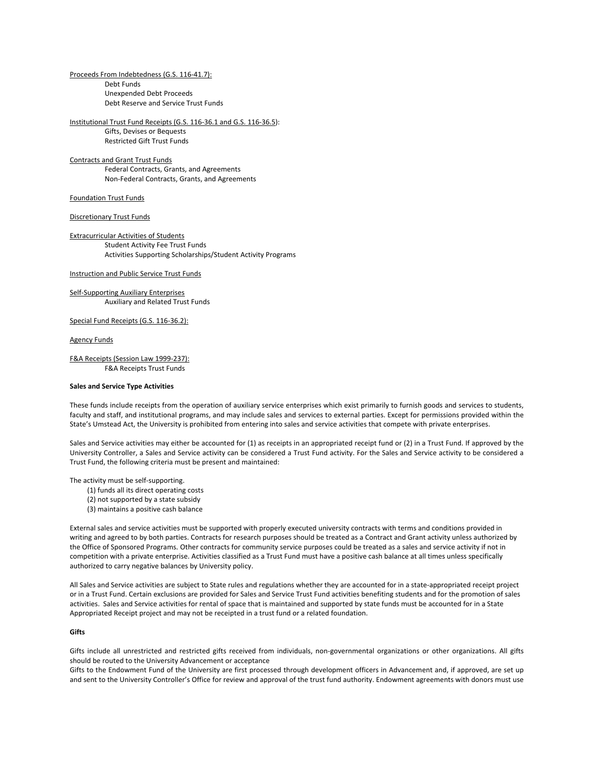Proceeds From Indebtedness (G.S. 116‐41.7): Debt Funds Unexpended Debt Proceeds Debt Reserve and Service Trust Funds

Institutional Trust Fund Receipts (G.S. 116‐36.1 and G.S. 116‐36.5): Gifts, Devises or Bequests Restricted Gift Trust Funds

## Contracts and Grant Trust Funds Federal Contracts, Grants, and Agreements Non‐Federal Contracts, Grants, and Agreements

## Foundation Trust Funds

#### Discretionary Trust Funds

Extracurricular Activities of Students Student Activity Fee Trust Funds Activities Supporting Scholarships/Student Activity Programs

Instruction and Public Service Trust Funds

Self‐Supporting Auxiliary Enterprises Auxiliary and Related Trust Funds

Special Fund Receipts (G.S. 116-36.2):

#### Agency Funds

F&A Receipts (Session Law 1999‐237): F&A Receipts Trust Funds

#### **Sales and Service Type Activities**

These funds include receipts from the operation of auxiliary service enterprises which exist primarily to furnish goods and services to students, faculty and staff, and institutional programs, and may include sales and services to external parties. Except for permissions provided within the State's Umstead Act, the University is prohibited from entering into sales and service activities that compete with private enterprises.

Sales and Service activities may either be accounted for (1) as receipts in an appropriated receipt fund or (2) in a Trust Fund. If approved by the University Controller, a Sales and Service activity can be considered a Trust Fund activity. For the Sales and Service activity to be considered a Trust Fund, the following criteria must be present and maintained:

The activity must be self‐supporting.

- (1) funds all its direct operating costs
- (2) not supported by a state subsidy
- (3) maintains a positive cash balance

External sales and service activities must be supported with properly executed university contracts with terms and conditions provided in writing and agreed to by both parties. Contracts for research purposes should be treated as a Contract and Grant activity unless authorized by the Office of Sponsored Programs. Other contracts for community service purposes could be treated as a sales and service activity if not in competition with a private enterprise. Activities classified as a Trust Fund must have a positive cash balance at all times unless specifically authorized to carry negative balances by University policy.

All Sales and Service activities are subject to State rules and regulations whether they are accounted for in a state‐appropriated receipt project or in a Trust Fund. Certain exclusions are provided for Sales and Service Trust Fund activities benefiting students and for the promotion of sales activities. Sales and Service activities for rental of space that is maintained and supported by state funds must be accounted for in a State Appropriated Receipt project and may not be receipted in a trust fund or a related foundation.

## **Gifts**

Gifts include all unrestricted and restricted gifts received from individuals, non-governmental organizations or other organizations. All gifts should be routed to the University Advancement or acceptance

Gifts to the Endowment Fund of the University are first processed through development officers in Advancement and, if approved, are set up and sent to the University Controller's Office for review and approval of the trust fund authority. Endowment agreements with donors must use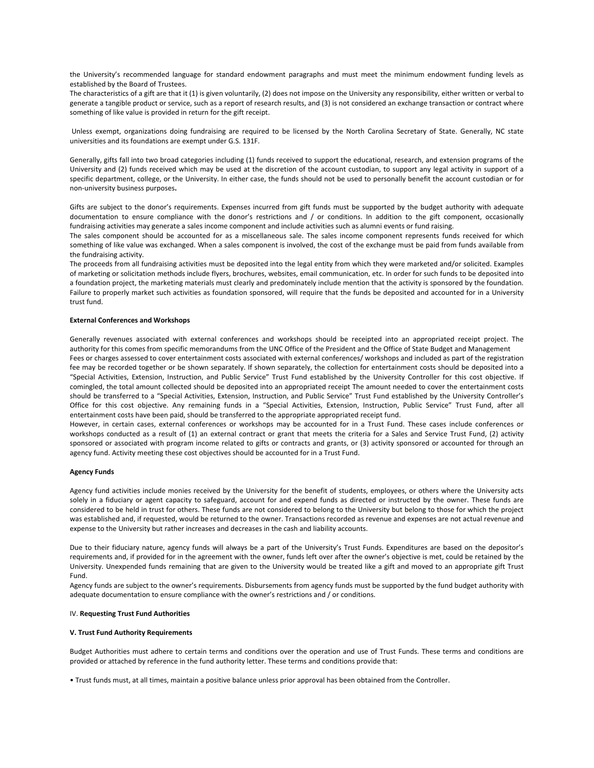the University's recommended language for standard endowment paragraphs and must meet the minimum endowment funding levels as established by the Board of Trustees.

The characteristics of a gift are that it (1) is given voluntarily, (2) does not impose on the University any responsibility, either written or verbal to generate a tangible product or service, such as a report of research results, and (3) is not considered an exchange transaction or contract where something of like value is provided in return for the gift receipt.

Unless exempt, organizations doing fundraising are required to be licensed by the North Carolina Secretary of State. Generally, NC state universities and its foundations are exempt under G.S. 131F.

Generally, gifts fall into two broad categories including (1) funds received to support the educational, research, and extension programs of the University and (2) funds received which may be used at the discretion of the account custodian, to support any legal activity in support of a specific department, college, or the University. In either case, the funds should not be used to personally benefit the account custodian or for non‐university business purposes**.** 

Gifts are subject to the donor's requirements. Expenses incurred from gift funds must be supported by the budget authority with adequate documentation to ensure compliance with the donor's restrictions and / or conditions. In addition to the gift component, occasionally fundraising activities may generate a sales income component and include activities such as alumni events or fund raising.

The sales component should be accounted for as a miscellaneous sale. The sales income component represents funds received for which something of like value was exchanged. When a sales component is involved, the cost of the exchange must be paid from funds available from the fundraising activity.

The proceeds from all fundraising activities must be deposited into the legal entity from which they were marketed and/or solicited. Examples of marketing or solicitation methods include flyers, brochures, websites, email communication, etc. In order for such funds to be deposited into a foundation project, the marketing materials must clearly and predominately include mention that the activity is sponsored by the foundation. Failure to properly market such activities as foundation sponsored, will require that the funds be deposited and accounted for in a University trust fund.

## **External Conferences and Workshops**

Generally revenues associated with external conferences and workshops should be receipted into an appropriated receipt project. The authority for this comes from specific memorandums from the UNC Office of the President and the Office of State Budget and Management Fees or charges assessed to cover entertainment costs associated with external conferences/ workshops and included as part of the registration fee may be recorded together or be shown separately. If shown separately, the collection for entertainment costs should be deposited into a "Special Activities, Extension, Instruction, and Public Service" Trust Fund established by the University Controller for this cost objective. If comingled, the total amount collected should be deposited into an appropriated receipt The amount needed to cover the entertainment costs should be transferred to a "Special Activities, Extension, Instruction, and Public Service" Trust Fund established by the University Controller's Office for this cost objective. Any remaining funds in a "Special Activities, Extension, Instruction, Public Service" Trust Fund, after all entertainment costs have been paid, should be transferred to the appropriate appropriated receipt fund.

However, in certain cases, external conferences or workshops may be accounted for in a Trust Fund. These cases include conferences or workshops conducted as a result of (1) an external contract or grant that meets the criteria for a Sales and Service Trust Fund, (2) activity sponsored or associated with program income related to gifts or contracts and grants, or (3) activity sponsored or accounted for through an agency fund. Activity meeting these cost objectives should be accounted for in a Trust Fund.

## **Agency Funds**

Agency fund activities include monies received by the University for the benefit of students, employees, or others where the University acts solely in a fiduciary or agent capacity to safeguard, account for and expend funds as directed or instructed by the owner. These funds are considered to be held in trust for others. These funds are not considered to belong to the University but belong to those for which the project was established and, if requested, would be returned to the owner. Transactions recorded as revenue and expenses are not actual revenue and expense to the University but rather increases and decreases in the cash and liability accounts.

Due to their fiduciary nature, agency funds will always be a part of the University's Trust Funds. Expenditures are based on the depositor's requirements and, if provided for in the agreement with the owner, funds left over after the owner's objective is met, could be retained by the University. Unexpended funds remaining that are given to the University would be treated like a gift and moved to an appropriate gift Trust Fund.

Agency funds are subject to the owner's requirements. Disbursements from agency funds must be supported by the fund budget authority with adequate documentation to ensure compliance with the owner's restrictions and / or conditions.

## IV. **Requesting Trust Fund Authorities**

## **V. Trust Fund Authority Requirements**

Budget Authorities must adhere to certain terms and conditions over the operation and use of Trust Funds. These terms and conditions are provided or attached by reference in the fund authority letter. These terms and conditions provide that:

• Trust funds must, at all times, maintain a positive balance unless prior approval has been obtained from the Controller.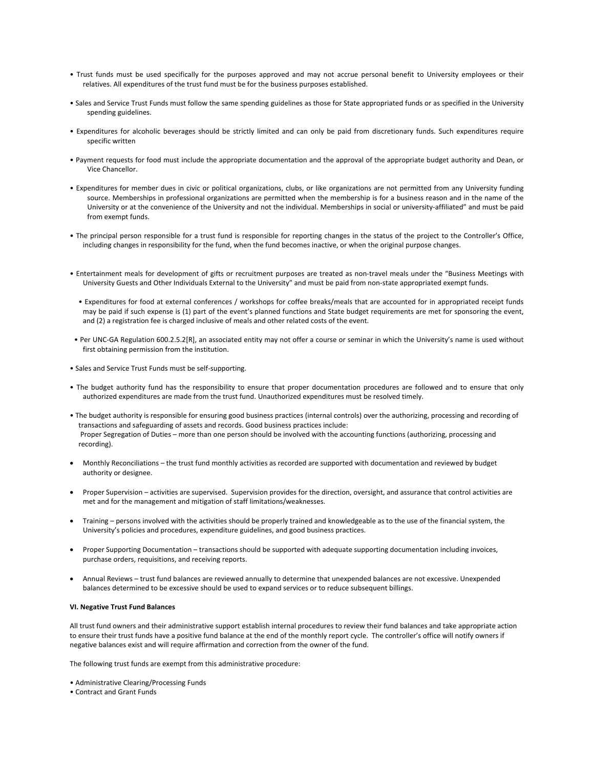- Trust funds must be used specifically for the purposes approved and may not accrue personal benefit to University employees or their relatives. All expenditures of the trust fund must be for the business purposes established.
- Sales and Service Trust Funds must follow the same spending guidelines as those for State appropriated funds or as specified in the University spending guidelines.
- Expenditures for alcoholic beverages should be strictly limited and can only be paid from discretionary funds. Such expenditures require specific written
- Payment requests for food must include the appropriate documentation and the approval of the appropriate budget authority and Dean, or Vice Chancellor.
- Expenditures for member dues in civic or political organizations, clubs, or like organizations are not permitted from any University funding source. Memberships in professional organizations are permitted when the membership is for a business reason and in the name of the University or at the convenience of the University and not the individual. Memberships in social or university‐affiliated" and must be paid from exempt funds.
- The principal person responsible for a trust fund is responsible for reporting changes in the status of the project to the Controller's Office, including changes in responsibility for the fund, when the fund becomes inactive, or when the original purpose changes.
- Entertainment meals for development of gifts or recruitment purposes are treated as non‐travel meals under the "Business Meetings with University Guests and Other Individuals External to the University" and must be paid from non‐state appropriated exempt funds.
	- Expenditures for food at external conferences / workshops for coffee breaks/meals that are accounted for in appropriated receipt funds may be paid if such expense is (1) part of the event's planned functions and State budget requirements are met for sponsoring the event, and (2) a registration fee is charged inclusive of meals and other related costs of the event.
- Per UNC‐GA Regulation 600.2.5.2[R], an associated entity may not offer a course or seminar in which the University's name is used without first obtaining permission from the institution.
- Sales and Service Trust Funds must be self‐supporting.
- The budget authority fund has the responsibility to ensure that proper documentation procedures are followed and to ensure that only authorized expenditures are made from the trust fund. Unauthorized expenditures must be resolved timely.
- The budget authority is responsible for ensuring good business practices (internal controls) over the authorizing, processing and recording of transactions and safeguarding of assets and records. Good business practices include: Proper Segregation of Duties – more than one person should be involved with the accounting functions (authorizing, processing and recording).
- Monthly Reconciliations the trust fund monthly activities as recorded are supported with documentation and reviewed by budget authority or designee.
- Proper Supervision activities are supervised. Supervision provides for the direction, oversight, and assurance that control activities are met and for the management and mitigation of staff limitations/weaknesses.
- Training persons involved with the activities should be properly trained and knowledgeable as to the use of the financial system, the University's policies and procedures, expenditure guidelines, and good business practices.
- Proper Supporting Documentation transactions should be supported with adequate supporting documentation including invoices, purchase orders, requisitions, and receiving reports.
- Annual Reviews trust fund balances are reviewed annually to determine that unexpended balances are not excessive. Unexpended balances determined to be excessive should be used to expand services or to reduce subsequent billings.

## **VI. Negative Trust Fund Balances**

All trust fund owners and their administrative support establish internal procedures to review their fund balances and take appropriate action to ensure their trust funds have a positive fund balance at the end of the monthly report cycle. The controller's office will notify owners if negative balances exist and will require affirmation and correction from the owner of the fund.

The following trust funds are exempt from this administrative procedure:

- Administrative Clearing/Processing Funds
- Contract and Grant Funds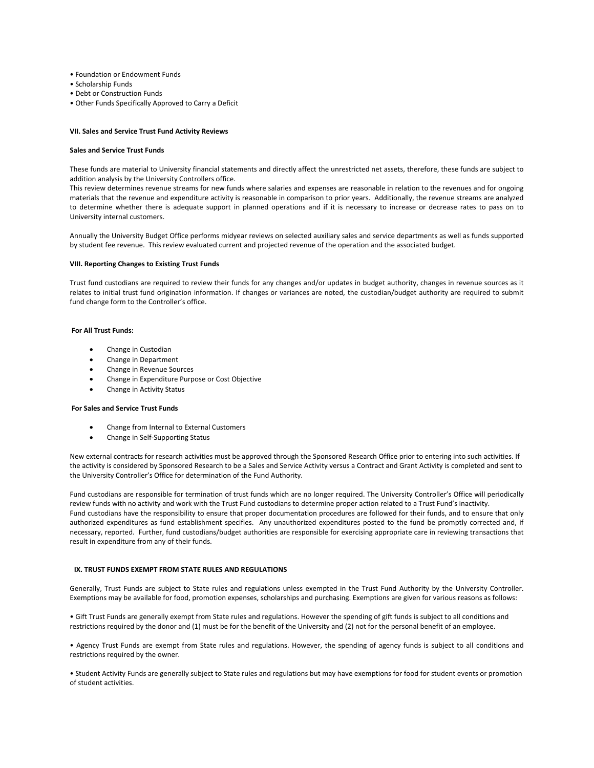- Foundation or Endowment Funds
- Scholarship Funds
- Debt or Construction Funds
- Other Funds Specifically Approved to Carry a Deficit

#### **VII. Sales and Service Trust Fund Activity Reviews**

#### **Sales and Service Trust Funds**

These funds are material to University financial statements and directly affect the unrestricted net assets, therefore, these funds are subject to addition analysis by the University Controllers office.

This review determines revenue streams for new funds where salaries and expenses are reasonable in relation to the revenues and for ongoing materials that the revenue and expenditure activity is reasonable in comparison to prior years. Additionally, the revenue streams are analyzed to determine whether there is adequate support in planned operations and if it is necessary to increase or decrease rates to pass on to University internal customers.

Annually the University Budget Office performs midyear reviews on selected auxiliary sales and service departments as well as funds supported by student fee revenue. This review evaluated current and projected revenue of the operation and the associated budget.

#### **VIII. Reporting Changes to Existing Trust Funds**

Trust fund custodians are required to review their funds for any changes and/or updates in budget authority, changes in revenue sources as it relates to initial trust fund origination information. If changes or variances are noted, the custodian/budget authority are required to submit fund change form to the Controller's office.

#### **For All Trust Funds:**

- Change in Custodian
- Change in Department
- Change in Revenue Sources
- Change in Expenditure Purpose or Cost Objective
- Change in Activity Status

#### **For Sales and Service Trust Funds**

- Change from Internal to External Customers
- Change in Self‐Supporting Status

New external contracts for research activities must be approved through the Sponsored Research Office prior to entering into such activities. If the activity is considered by Sponsored Research to be a Sales and Service Activity versus a Contract and Grant Activity is completed and sent to the University Controller's Office for determination of the Fund Authority.

Fund custodians are responsible for termination of trust funds which are no longer required. The University Controller's Office will periodically review funds with no activity and work with the Trust Fund custodians to determine proper action related to a Trust Fund's inactivity. Fund custodians have the responsibility to ensure that proper documentation procedures are followed for their funds, and to ensure that only authorized expenditures as fund establishment specifies. Any unauthorized expenditures posted to the fund be promptly corrected and, if necessary, reported. Further, fund custodians/budget authorities are responsible for exercising appropriate care in reviewing transactions that result in expenditure from any of their funds.

## **IX. TRUST FUNDS EXEMPT FROM STATE RULES AND REGULATIONS**

Generally, Trust Funds are subject to State rules and regulations unless exempted in the Trust Fund Authority by the University Controller. Exemptions may be available for food, promotion expenses, scholarships and purchasing. Exemptions are given for various reasons as follows:

• Gift Trust Funds are generally exempt from State rules and regulations. However the spending of gift funds is subject to all conditions and restrictions required by the donor and (1) must be for the benefit of the University and (2) not for the personal benefit of an employee.

• Agency Trust Funds are exempt from State rules and regulations. However, the spending of agency funds is subject to all conditions and restrictions required by the owner.

• Student Activity Funds are generally subject to State rules and regulations but may have exemptions for food for student events or promotion of student activities.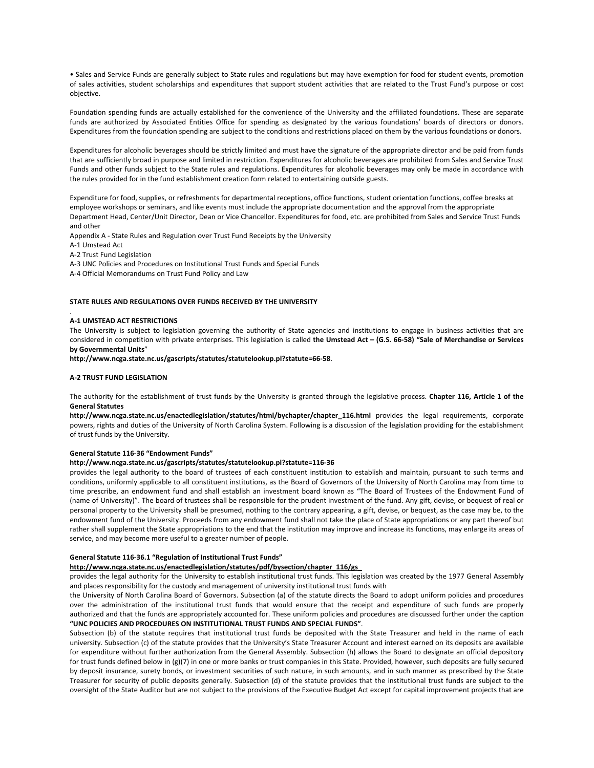• Sales and Service Funds are generally subject to State rules and regulations but may have exemption for food for student events, promotion of sales activities, student scholarships and expenditures that support student activities that are related to the Trust Fund's purpose or cost objective.

Foundation spending funds are actually established for the convenience of the University and the affiliated foundations. These are separate funds are authorized by Associated Entities Office for spending as designated by the various foundations' boards of directors or donors. Expenditures from the foundation spending are subject to the conditions and restrictions placed on them by the various foundations or donors.

Expenditures for alcoholic beverages should be strictly limited and must have the signature of the appropriate director and be paid from funds that are sufficiently broad in purpose and limited in restriction. Expenditures for alcoholic beverages are prohibited from Sales and Service Trust Funds and other funds subject to the State rules and regulations. Expenditures for alcoholic beverages may only be made in accordance with the rules provided for in the fund establishment creation form related to entertaining outside guests.

Expenditure for food, supplies, or refreshments for departmental receptions, office functions, student orientation functions, coffee breaks at employee workshops or seminars, and like events must include the appropriate documentation and the approval from the appropriate Department Head, Center/Unit Director, Dean or Vice Chancellor. Expenditures for food, etc. are prohibited from Sales and Service Trust Funds and other

Appendix A ‐ State Rules and Regulation over Trust Fund Receipts by the University

A‐1 Umstead Act

.

A‐2 Trust Fund Legislation

A‐3 UNC Policies and Procedures on Institutional Trust Funds and Special Funds

A‐4 Official Memorandums on Trust Fund Policy and Law

## **STATE RULES AND REGULATIONS OVER FUNDS RECEIVED BY THE UNIVERSITY**

#### **A‐1 UMSTEAD ACT RESTRICTIONS**

The University is subject to legislation governing the authority of State agencies and institutions to engage in business activities that are considered in competition with private enterprises. This legislation is called the Umstead Act - (G.S. 66-58) "Sale of Merchandise or Services **by Governmental Units**"

**http://www.ncga.state.nc.us/gascripts/statutes/statutelookup.pl?statute=66‐58**.

#### **A‐2 TRUST FUND LEGISLATION**

The authority for the establishment of trust funds by the University is granted through the legislative process. **Chapter 116, Article 1 of the General Statutes**

**http://www.ncga.state.nc.us/enactedlegislation/statutes/html/bychapter/chapter\_116.html** provides the legal requirements, corporate powers, rights and duties of the University of North Carolina System. Following is a discussion of the legislation providing for the establishment of trust funds by the University.

#### **General Statute 116‐36 "Endowment Funds"**

## **http://www.ncga.state.nc.us/gascripts/statutes/statutelookup.pl?statute=116‐36**

provides the legal authority to the board of trustees of each constituent institution to establish and maintain, pursuant to such terms and conditions, uniformly applicable to all constituent institutions, as the Board of Governors of the University of North Carolina may from time to time prescribe, an endowment fund and shall establish an investment board known as "The Board of Trustees of the Endowment Fund of (name of University)". The board of trustees shall be responsible for the prudent investment of the fund. Any gift, devise, or bequest of real or personal property to the University shall be presumed, nothing to the contrary appearing, a gift, devise, or bequest, as the case may be, to the endowment fund of the University. Proceeds from any endowment fund shall not take the place of State appropriations or any part thereof but rather shall supplement the State appropriations to the end that the institution may improve and increase its functions, may enlarge its areas of service, and may become more useful to a greater number of people.

#### **General Statute 116‐36.1 "Regulation of Institutional Trust Funds"**

#### **http://www.ncga.state.nc.us/enactedlegislation/statutes/pdf/bysection/chapter\_116/gs\_**

provides the legal authority for the University to establish institutional trust funds. This legislation was created by the 1977 General Assembly and places responsibility for the custody and management of university institutional trust funds with

the University of North Carolina Board of Governors. Subsection (a) of the statute directs the Board to adopt uniform policies and procedures over the administration of the institutional trust funds that would ensure that the receipt and expenditure of such funds are properly authorized and that the funds are appropriately accounted for. These uniform policies and procedures are discussed further under the caption **"UNC POLICIES AND PROCEDURES ON INSTITUTIONAL TRUST FUNDS AND SPECIAL FUNDS"**.

Subsection (b) of the statute requires that institutional trust funds be deposited with the State Treasurer and held in the name of each university. Subsection (c) of the statute provides that the University's State Treasurer Account and interest earned on its deposits are available for expenditure without further authorization from the General Assembly. Subsection (h) allows the Board to designate an official depository for trust funds defined below in (g)(7) in one or more banks or trust companies in this State. Provided, however, such deposits are fully secured by deposit insurance, surety bonds, or investment securities of such nature, in such amounts, and in such manner as prescribed by the State Treasurer for security of public deposits generally. Subsection (d) of the statute provides that the institutional trust funds are subject to the oversight of the State Auditor but are not subject to the provisions of the Executive Budget Act except for capital improvement projects that are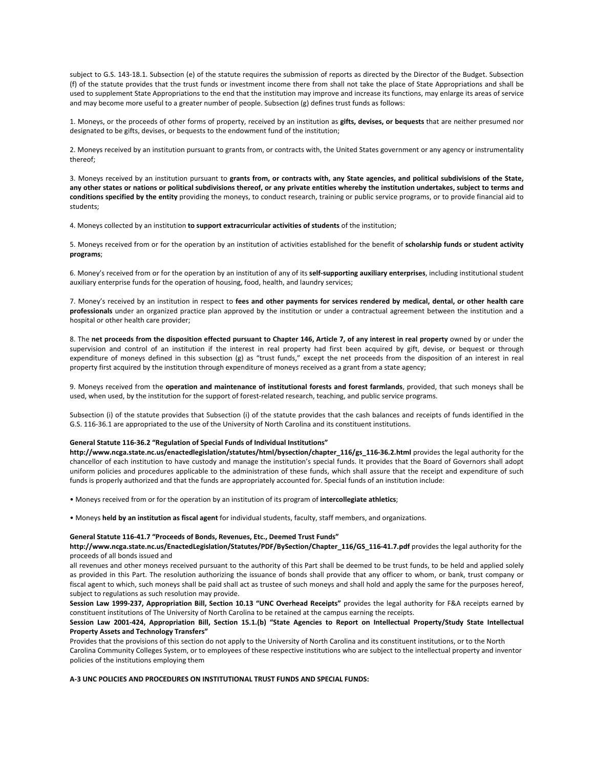subject to G.S. 143-18.1. Subsection (e) of the statute requires the submission of reports as directed by the Director of the Budget. Subsection (f) of the statute provides that the trust funds or investment income there from shall not take the place of State Appropriations and shall be used to supplement State Appropriations to the end that the institution may improve and increase its functions, may enlarge its areas of service and may become more useful to a greater number of people. Subsection (g) defines trust funds as follows:

1. Moneys, or the proceeds of other forms of property, received by an institution as **gifts, devises, or bequests** that are neither presumed nor designated to be gifts, devises, or bequests to the endowment fund of the institution;

2. Moneys received by an institution pursuant to grants from, or contracts with, the United States government or any agency or instrumentality thereof;

3. Moneys received by an institution pursuant to grants from, or contracts with, any State agencies, and political subdivisions of the State, any other states or nations or political subdivisions thereof, or any private entities whereby the institution undertakes, subject to terms and **conditions specified by the entity** providing the moneys, to conduct research, training or public service programs, or to provide financial aid to students;

4. Moneys collected by an institution **to support extracurricular activities of students** of the institution;

5. Moneys received from or for the operation by an institution of activities established for the benefit of **scholarship funds or student activity programs**;

6. Money's received from or for the operation by an institution of any of its **self‐supporting auxiliary enterprises**, including institutional student auxiliary enterprise funds for the operation of housing, food, health, and laundry services;

7. Money's received by an institution in respect to fees and other payments for services rendered by medical, dental, or other health care **professionals** under an organized practice plan approved by the institution or under a contractual agreement between the institution and a hospital or other health care provider;

8. The net proceeds from the disposition effected pursuant to Chapter 146, Article 7, of any interest in real property owned by or under the supervision and control of an institution if the interest in real property had first been acquired by gift, devise, or bequest or through expenditure of moneys defined in this subsection (g) as "trust funds," except the net proceeds from the disposition of an interest in real property first acquired by the institution through expenditure of moneys received as a grant from a state agency;

9. Moneys received from the **operation and maintenance of institutional forests and forest farmlands**, provided, that such moneys shall be used, when used, by the institution for the support of forest-related research, teaching, and public service programs.

Subsection (i) of the statute provides that Subsection (i) of the statute provides that the cash balances and receipts of funds identified in the G.S. 116‐36.1 are appropriated to the use of the University of North Carolina and its constituent institutions.

## **General Statute 116‐36.2 "Regulation of Special Funds of Individual Institutions"**

**http://www.ncga.state.nc.us/enactedlegislation/statutes/html/bysection/chapter\_116/gs\_116‐36.2.html** provides the legal authority for the chancellor of each institution to have custody and manage the institution's special funds. It provides that the Board of Governors shall adopt uniform policies and procedures applicable to the administration of these funds, which shall assure that the receipt and expenditure of such funds is properly authorized and that the funds are appropriately accounted for. Special funds of an institution include:

• Moneys received from or for the operation by an institution of its program of **intercollegiate athletics**;

• Moneys **held by an institution as fiscal agent** for individual students, faculty, staff members, and organizations.

#### **General Statute 116‐41.7 "Proceeds of Bonds, Revenues, Etc., Deemed Trust Funds"**

**http://www.ncga.state.nc.us/EnactedLegislation/Statutes/PDF/BySection/Chapter\_116/GS\_116‐41.7.pdf** provides the legal authority for the proceeds of all bonds issued and

all revenues and other moneys received pursuant to the authority of this Part shall be deemed to be trust funds, to be held and applied solely as provided in this Part. The resolution authorizing the issuance of bonds shall provide that any officer to whom, or bank, trust company or fiscal agent to which, such moneys shall be paid shall act as trustee of such moneys and shall hold and apply the same for the purposes hereof, subject to regulations as such resolution may provide.

**Session Law 1999‐237, Appropriation Bill, Section 10.13 "UNC Overhead Receipts"** provides the legal authority for F&A receipts earned by constituent institutions of The University of North Carolina to be retained at the campus earning the receipts.

## Session Law 2001-424, Appropriation Bill, Section 15.1.(b) "State Agencies to Report on Intellectual Property/Study State Intellectual **Property Assets and Technology Transfers"**

Provides that the provisions of this section do not apply to the University of North Carolina and its constituent institutions, or to the North Carolina Community Colleges System, or to employees of these respective institutions who are subject to the intellectual property and inventor policies of the institutions employing them

## **A‐3 UNC POLICIES AND PROCEDURES ON INSTITUTIONAL TRUST FUNDS AND SPECIAL FUNDS:**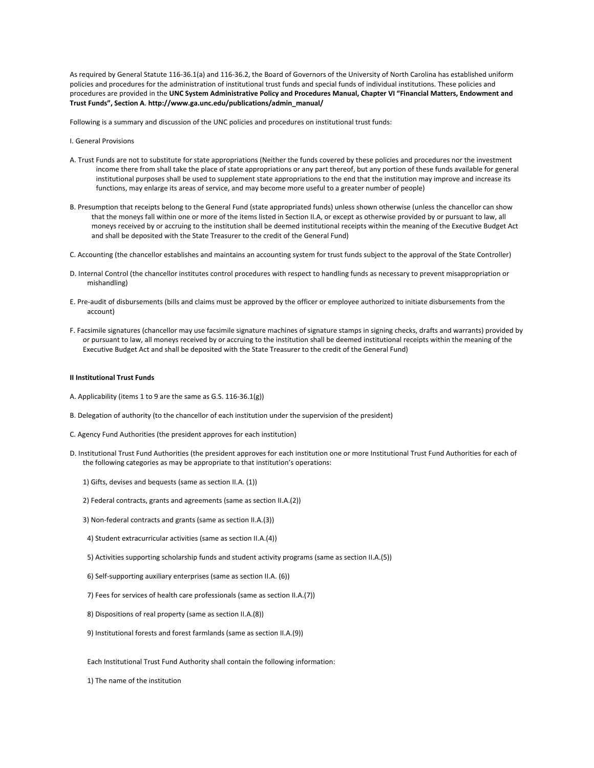As required by General Statute 116‐36.1(a) and 116‐36.2, the Board of Governors of the University of North Carolina has established uniform policies and procedures for the administration of institutional trust funds and special funds of individual institutions. These policies and procedures are provided in the **UNC System Administrative Policy and Procedures Manual, Chapter VI "Financial Matters, Endowment and Trust Funds", Section A**. **http://www.ga.unc.edu/publications/admin\_manual/**

Following is a summary and discussion of the UNC policies and procedures on institutional trust funds:

- I. General Provisions
- A. Trust Funds are not to substitute for state appropriations (Neither the funds covered by these policies and procedures nor the investment income there from shall take the place of state appropriations or any part thereof, but any portion of these funds available for general institutional purposes shall be used to supplement state appropriations to the end that the institution may improve and increase its functions, may enlarge its areas of service, and may become more useful to a greater number of people)
- B. Presumption that receipts belong to the General Fund (state appropriated funds) unless shown otherwise (unless the chancellor can show that the moneys fall within one or more of the items listed in Section II.A, or except as otherwise provided by or pursuant to law, all moneys received by or accruing to the institution shall be deemed institutional receipts within the meaning of the Executive Budget Act and shall be deposited with the State Treasurer to the credit of the General Fund)
- C. Accounting (the chancellor establishes and maintains an accounting system for trust funds subject to the approval of the State Controller)
- D. Internal Control (the chancellor institutes control procedures with respect to handling funds as necessary to prevent misappropriation or mishandling)
- E. Pre‐audit of disbursements (bills and claims must be approved by the officer or employee authorized to initiate disbursements from the account)
- F. Facsimile signatures (chancellor may use facsimile signature machines of signature stamps in signing checks, drafts and warrants) provided by or pursuant to law, all moneys received by or accruing to the institution shall be deemed institutional receipts within the meaning of the Executive Budget Act and shall be deposited with the State Treasurer to the credit of the General Fund)

#### **II Institutional Trust Funds**

- A. Applicability (items 1 to 9 are the same as G.S. 116‐36.1(g))
- B. Delegation of authority (to the chancellor of each institution under the supervision of the president)
- C. Agency Fund Authorities (the president approves for each institution)
- D. Institutional Trust Fund Authorities (the president approves for each institution one or more Institutional Trust Fund Authorities for each of the following categories as may be appropriate to that institution's operations:
	- 1) Gifts, devises and bequests (same as section II.A. (1))
	- 2) Federal contracts, grants and agreements (same as section II.A.(2))
	- 3) Non‐federal contracts and grants (same as section II.A.(3))
	- 4) Student extracurricular activities (same as section II.A.(4))
	- 5) Activities supporting scholarship funds and student activity programs (same as section II.A.(5))
	- 6) Self‐supporting auxiliary enterprises (same as section II.A. (6))
	- 7) Fees for services of health care professionals (same as section II.A.(7))
	- 8) Dispositions of real property (same as section II.A.(8))
	- 9) Institutional forests and forest farmlands (same as section II.A.(9))

Each Institutional Trust Fund Authority shall contain the following information:

1) The name of the institution